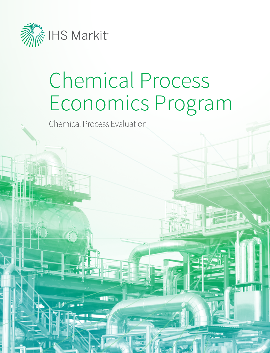

# Chemical Process Economics Program

Chemical Process Evaluation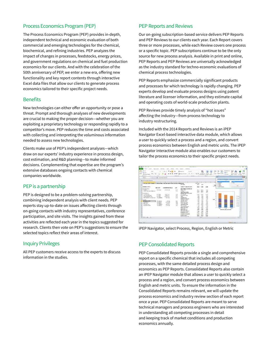## Process Economics Program (PEP)

The Process Economics Program (PEP) provides in-depth, independent technical and economic evaluation of both commercial and emerging technologies for the chemical, biochemical, and refining industries. PEP analyzes the impact of changes in processes, feedstocks, energy prices, and government regulations on chemical and fuel production economics for our clients. And with the celebration of the 50th anniversary of PEP, we enter a new era, offering new functionality and key report contents through interactive Excel data fles that allow our clients to generate process economics tailored to their specific project needs.

#### **Benefits**

New technologies can either offer an opportunity or pose a threat. Prompt and thorough analyses of new developments are crucial to making the proper decision—whether you are exploiting a proprietary technology or responding rapidly to a competitor's move. PEP reduces the time and costs associated with collecting and interpreting the voluminous information needed to assess new technologies.

Clients make use of PEP's independent analyses—which draw on our experts' industry experience in process design, cost estimation, and R&D planning—to make informed decisions. Complementing that expertise are the program's extensive databases ongoing contacts with chemical companies worldwide.

#### PEP is a partnership

PEP is designed to be a problem-solving partnership, combining independent analysis with client needs. PEP experts stay up-to-date on issues afecting clients through on-going contacts with industry representatives, conference participation, and site visits. The insights gained from these activities are reflected each year in the topics suggested for research. Clients then vote on PEP's suggestions to ensure the selected topics reflect their areas of interest.

## Inquiry Privileges

All PEP customers receive access to the experts to discuss information in the studies.

#### PEP Reports and Reviews

Our on-going subscription-based service delivers PEP Reports and PEP Reviews to our clients each year. Each Report covers three or more processes, while each Review covers one process or a specific topic. PEP subscriptions continue to be the only source for new process analysis. Available in print and online, PEP Reports and PEP Reviews are universally acknowledged as the industry standard for techno-economic evaluations of chemical process technologies.

PEP Reports emphasize commercially significant products and processes for which technology is rapidly changing. PEP experts develop and evaluate process designs using patent literature and licenser information, and they estimate capital and operating costs of world-scale production plants.

PEP Reviews provide timely analysis of "hot issues" afecting the industry—from process technology to industry restructuring.

Included with the 2014 Reports and Reviews is an iPEP Navigator Excel-based interactive data module, which allows a user to quickly select a process and a region, and convert process economics between English and metric units. The iPEP Navigator interactive module also enables our customers to tailor the process economics to their specific project needs.

| <b>SEAT SHOP</b><br>Functions of New York<br>٠<br>$2465 - 1$<br><b>Particular</b><br>nsin<br>all City Author<br><b>Book</b><br><b>Talland</b><br>11. AL charles author<br><b>BAS</b><br>--<br><b><i>A CA Provided \$25 PM</i></b>                          |                                                                                    |                                                                                |                                                     |                                                                                                                                                                                      |                          |                                             |                                                         |                                      |                                             | <b>STAR</b>                                                               |
|------------------------------------------------------------------------------------------------------------------------------------------------------------------------------------------------------------------------------------------------------------|------------------------------------------------------------------------------------|--------------------------------------------------------------------------------|-----------------------------------------------------|--------------------------------------------------------------------------------------------------------------------------------------------------------------------------------------|--------------------------|---------------------------------------------|---------------------------------------------------------|--------------------------------------|---------------------------------------------|---------------------------------------------------------------------------|
| <b>Pitting in Waller</b><br>1779 F. L. St., Ph. M. 178, L. St., L. St., L. St., L. St., L. St., L. St., L. St., L. St., L. St., L. St., L. St., L. St., L. St., L. St., L. St., L. St., L. St., L. St., L. St., L. St., L. St., L. St., L. St., L. St., L. |                                                                                    | and the company of the company of the company of the company of the company of |                                                     |                                                                                                                                                                                      | 68                       | pag.                                        |                                                         | ٠                                    | 11.00<br>$-$<br>$-$<br>$-$<br><b>CALLS</b>  | $\cdots$                                                                  |
| <b>VARIES ESSAY</b>                                                                                                                                                                                                                                        |                                                                                    | <b><i><u>PERMITES 15</u></i></b>                                               | as.                                                 | MARTIN'S MATERIAL E APRIL                                                                                                                                                            | <b>WA</b>                | 1.00                                        | 1.4                                                     |                                      | <b>Skill-Analy</b>                          |                                                                           |
| <b>Individual Disease</b><br><b>COMPANY</b><br>which shows a provided and a                                                                                                                                                                                | <b>Street and</b>                                                                  | Artist Link                                                                    | $-11$<br>$\overline{a}$<br>n                        | <b>Barry Hallet, And Maryland</b><br><b>SHELL CALL</b><br>of the<br><b>MORTABIN CARRY</b>                                                                                            | $m =$<br>m<br>$-0.65$    | $-0.0 - 0.0$<br>261<br>$\cdots$             | $\cdots$<br>a<br>-                                      |                                      |                                             |                                                                           |
| <b>WITH SEATS</b><br>City Mine Street<br>Like an extreme<br><b>CONTRACTOR AND INCOME.</b><br><b>Billion McGreen And Christmas</b>                                                                                                                          | to I past<br>$-1 - 200$<br>$10.5$ (at 0)<br><b>FOLLOWING</b>                       | 440.4<br><b>SHARE OR</b><br>product value<br>sion fe's                         | $1 - 4$<br><b>SERVICE</b><br>$-1$<br>$\overline{a}$ | <b>NAME OF GROOM</b><br><b>San Alberto</b><br>to mean in costs<br><b>SALE</b><br><b><i><u>Administration</u></i></b><br><b>EUROPECI ANGLIE</b>                                       | m<br>$\sim$<br>z<br>u    | 414<br>-<br>28<br>$\sim$<br>$\overline{1}$  | 14.46<br>$\rightarrow$<br>课<br>13                       | $\sim$<br>۰<br>٠<br>n<br>÷           |                                             | <b>Highland</b><br><b><i><u>STAGE</u></i></b>                             |
| <b>MOVE THAT</b><br>MARIN RIE<br><b>SALESNO ANGLI</b>                                                                                                                                                                                                      | 113,000.00<br>tool carried<br>cial calence<br><b>College Pro</b><br><b>CO-MAIN</b> | $A$ in $A$<br>translated<br><b>SHARE</b><br><b>Main Africa</b><br>314, 544     | 53<br>E<br>$-4$<br>u                                | <b>General Locale</b><br><b>SERVICES</b><br><b>Selection and Controller</b><br><b>CONTRACTOR</b><br><b>Send an air class</b><br><b>Start Continues</b><br><b>SLAU &amp; ATLINICA</b> | m<br>÷<br>17.24<br>$-10$ | $\cdots$<br>$-1$<br><br>-<br>$\overline{a}$ | ÷<br>m<br>$\frac{1}{2}$<br>12<br>$-10$<br>$\frac{1}{2}$ | 1810<br>$\frac{1}{2}$<br>$\sim$<br>÷ |                                             | <b>Johanne</b><br><b>Photo</b> 6<br><b>Heat</b><br><b>CAT</b><br>created. |
|                                                                                                                                                                                                                                                            | DO 10                                                                              | .                                                                              |                                                     | <b>Built Law Link</b><br><b>Ingelessing</b><br><b>Not can't se</b><br>this has demand<br><b>Analyzed Ford</b>                                                                        | mille.<br>H<br>Tai<br>œ  | <b>SALE</b><br>м<br>a.                      | 43<br>- 7                                               | a L                                  | 21.400<br><br><b>UNIVERSITY AND LOCATED</b> | -                                                                         |

iPEP Navigator, select Process, Region, English or Metric

## PEP Consolidated Reports

PEP Consolidated Reports provide a single and comprehensive report on a specific chemical that includes all competing processes, with the same detailed process design and economics as PEP Reports. Consolidated Reports also contain an iPEP Navigator module that allows a user to quickly select a process and a region, and convert process economics between English and metric units. To ensure the information in the Consolidated Reports remains relevant, we will update the process economics and industry review section of each report once a year. PEP Consolidated Reports are meant to serve technical managers and process engineers who are interested in understanding all competing processes in detail and keeping track of market conditions and production economics annually.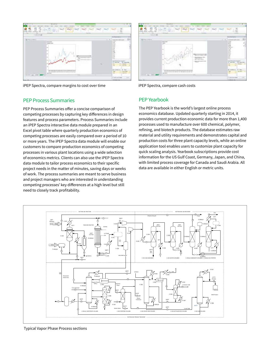

iPEP Spectra, compare margins to cost over time iPEP Spectra, compare cash costs

#### PEP Process Summaries

PEP Process Summaries offer a concise comparison of competing processes by capturing key diferences in design features and process parameters. Process Summaries include an iPEP Spectra interactive data module prepared in an Excel pivot table where quarterly production economics of competing processes are easily compared over a period of 10 or more years. The iPEP Spectra data module will enable our customers to compare production economics of competing processes in various plant locations using a wide selection of economics metrics. Clients can also use the iPEP Spectra data module to tailor process economics to their specific project needs in the matter of minutes, saving days or weeks of work. The process summaries are meant to serve business and project managers who are interested in understanding competing processes' key diferences at a high level but still need to closely track profitability.



#### PEP Yearbook

The PEP Yearbook is the world's largest online process economics database. Updated quarterly starting in 2014, it provides current production economic data for more than 1,400 processes used to manufacture over 600 chemical, polymer, refining, and biotech products. The database estimates raw material and utility requirements and demonstrates capital and production costs for three plant capacity levels, while an online application tool enables users to customize plant capacity for quick scaling analysis. Yearbook subscriptions provide cost information for the US Gulf Coast, Germany, Japan, and China, with limited process coverage for Canada and Saudi Arabia. All data are available in either English or metric units.



Typical Vapor Phase Process sections